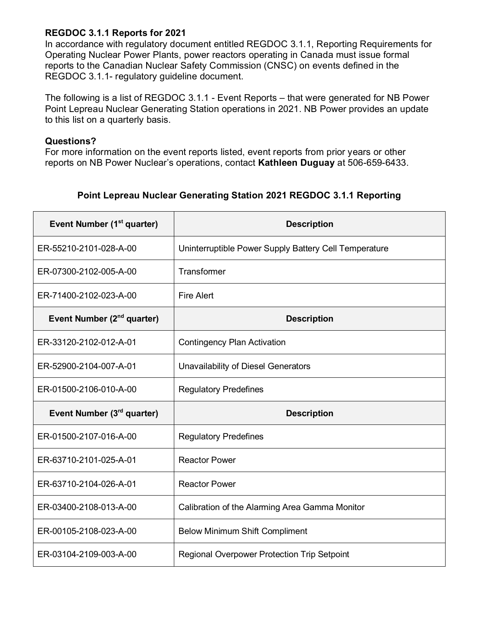## **REGDOC 3.1.1 Reports for 2021**

In accordance with regulatory document entitled REGDOC 3.1.1, Reporting Requirements for Operating Nuclear Power Plants, power reactors operating in Canada must issue formal reports to the Canadian Nuclear Safety Commission (CNSC) on events defined in the REGDOC 3.1.1- regulatory guideline document.

The following is a list of REGDOC 3.1.1 - Event Reports – that were generated for NB Power Point Lepreau Nuclear Generating Station operations in 2021. NB Power provides an update to this list on a quarterly basis.

## **Questions?**

For more information on the event reports listed, event reports from prior years or other reports on NB Power Nuclear's operations, contact **Kathleen Duguay** at 506-659-6433.

## **Point Lepreau Nuclear Generating Station 2021 REGDOC 3.1.1 Reporting**

| Event Number (1 <sup>st</sup> quarter) | <b>Description</b>                                    |
|----------------------------------------|-------------------------------------------------------|
| ER-55210-2101-028-A-00                 | Uninterruptible Power Supply Battery Cell Temperature |
| ER-07300-2102-005-A-00                 | Transformer                                           |
| ER-71400-2102-023-A-00                 | <b>Fire Alert</b>                                     |
| Event Number (2 <sup>nd</sup> quarter) | <b>Description</b>                                    |
| ER-33120-2102-012-A-01                 | <b>Contingency Plan Activation</b>                    |
| ER-52900-2104-007-A-01                 | <b>Unavailability of Diesel Generators</b>            |
| ER-01500-2106-010-A-00                 | <b>Regulatory Predefines</b>                          |
| Event Number (3rd quarter)             | <b>Description</b>                                    |
| ER-01500-2107-016-A-00                 | <b>Regulatory Predefines</b>                          |
| ER-63710-2101-025-A-01                 | <b>Reactor Power</b>                                  |
| ER-63710-2104-026-A-01                 | <b>Reactor Power</b>                                  |
| ER-03400-2108-013-A-00                 | Calibration of the Alarming Area Gamma Monitor        |
| ER-00105-2108-023-A-00                 | <b>Below Minimum Shift Compliment</b>                 |
| ER-03104-2109-003-A-00                 | <b>Regional Overpower Protection Trip Setpoint</b>    |